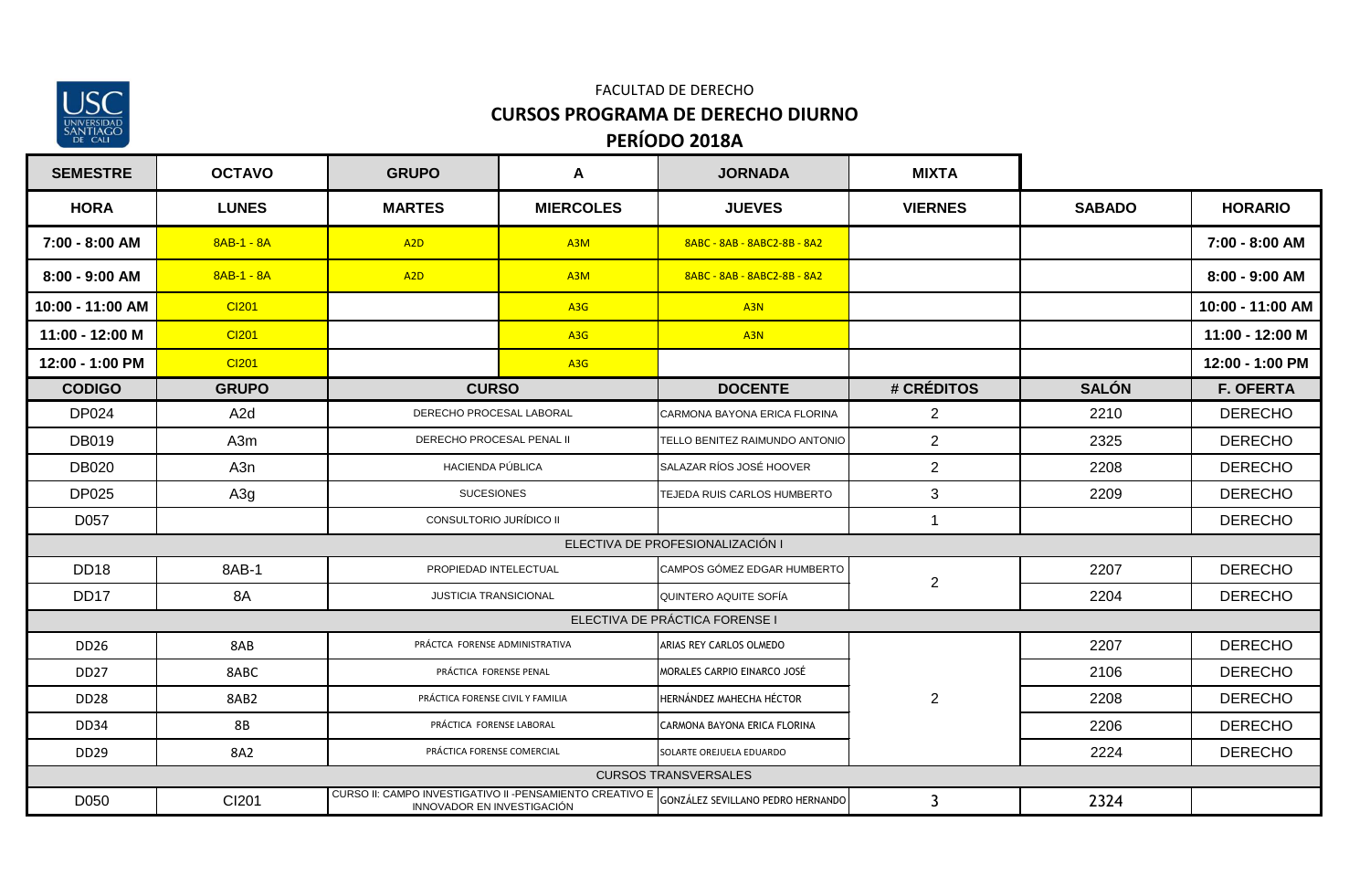

### **PERÍODO 2018A** FACULTAD DE DERECHO **CURSOS PROGRAMA DE DERECHO DIURNO**

| <b>SEMESTRE</b>  | <b>OCTAVO</b>    | <b>GRUPO</b>                                                                            | A                | <b>JORNADA</b>                    | <b>MIXTA</b>   |               |                  |
|------------------|------------------|-----------------------------------------------------------------------------------------|------------------|-----------------------------------|----------------|---------------|------------------|
| <b>HORA</b>      | <b>LUNES</b>     | <b>MARTES</b>                                                                           | <b>MIERCOLES</b> | <b>JUEVES</b>                     | <b>VIERNES</b> | <b>SABADO</b> | <b>HORARIO</b>   |
| 7:00 - 8:00 AM   | $8AB-1 - 8A$     | A <sub>2</sub> D                                                                        | A3M              | 8ABC - 8AB - 8ABC2-8B - 8A2       |                |               | 7:00 - 8:00 AM   |
| $8:00 - 9:00$ AM | $8AB-1 - 8A$     | A <sub>2</sub> D                                                                        | A3M              | 8ABC - 8AB - 8ABC2-8B - 8A2       |                |               | 8:00 - 9:00 AM   |
| 10:00 - 11:00 AM | CI201            |                                                                                         | A3G              | A3N                               |                |               | 10:00 - 11:00 AM |
| 11:00 - 12:00 M  | CI201            |                                                                                         | A <sub>3</sub> G | A <sub>3N</sub>                   |                |               | 11:00 - 12:00 M  |
| 12:00 - 1:00 PM  | CI201            |                                                                                         | A <sub>3</sub> G |                                   |                |               | 12:00 - 1:00 PM  |
| <b>CODIGO</b>    | <b>GRUPO</b>     | <b>CURSO</b>                                                                            |                  | <b>DOCENTE</b>                    | # CRÉDITOS     | <b>SALÓN</b>  | <b>F. OFERTA</b> |
| DP024            | A <sub>2</sub> d | DERECHO PROCESAL LABORAL                                                                |                  | CARMONA BAYONA ERICA FLORINA      | 2              | 2210          | <b>DERECHO</b>   |
| <b>DB019</b>     | A3m              | DERECHO PROCESAL PENAL II                                                               |                  | TELLO BENITEZ RAIMUNDO ANTONIO    | 2              | 2325          | <b>DERECHO</b>   |
| <b>DB020</b>     | A3n              | HACIENDA PÚBLICA                                                                        |                  | SALAZAR RÍOS JOSÉ HOOVER          | 2              | 2208          | <b>DERECHO</b>   |
| <b>DP025</b>     | A3g              | <b>SUCESIONES</b>                                                                       |                  | TEJEDA RUIS CARLOS HUMBERTO       | 3              | 2209          | <b>DERECHO</b>   |
| D057             |                  | CONSULTORIO JURÍDICO II                                                                 |                  |                                   | -1             |               | <b>DERECHO</b>   |
|                  |                  |                                                                                         |                  | ELECTIVA DE PROFESIONALIZACIÓN I  |                |               |                  |
| <b>DD18</b>      | 8AB-1            | PROPIEDAD INTELECTUAL                                                                   |                  | CAMPOS GÓMEZ EDGAR HUMBERTO       | 2              | 2207          | <b>DERECHO</b>   |
| DD17             | 8A               | <b>JUSTICIA TRANSICIONAL</b>                                                            |                  | QUINTERO AQUITE SOFÍA             |                | 2204          | <b>DERECHO</b>   |
|                  |                  |                                                                                         |                  | ELECTIVA DE PRÁCTICA FORENSE I    |                |               |                  |
| <b>DD26</b>      | 8AB              | PRÁCTCA FORENSE ADMINISTRATIVA                                                          |                  | ARIAS REY CARLOS OLMEDO           |                | 2207          | <b>DERECHO</b>   |
| DD <sub>27</sub> | 8ABC             | PRÁCTICA FORENSE PENAL                                                                  |                  | MORALES CARPIO EINARCO JOSÉ       |                | 2106          | <b>DERECHO</b>   |
| DD <sub>28</sub> | 8AB2             | PRÁCTICA FORENSE CIVIL Y FAMILIA                                                        |                  | HERNÁNDEZ MAHECHA HÉCTOR          | $\overline{2}$ | 2208          | <b>DERECHO</b>   |
| <b>DD34</b>      | 8B               | PRÁCTICA FORENSE LABORAL                                                                |                  | CARMONA BAYONA ERICA FLORINA      |                | 2206          | <b>DERECHO</b>   |
| <b>DD29</b>      | 8A2              | PRÁCTICA FORENSE COMERCIAL                                                              |                  | SOLARTE OREJUELA EDUARDO          |                | 2224          | <b>DERECHO</b>   |
|                  |                  |                                                                                         |                  | <b>CURSOS TRANSVERSALES</b>       |                |               |                  |
| D050             | CI201            | CURSO II: CAMPO INVESTIGATIVO II - PENSAMIENTO CREATIVO E<br>INNOVADOR EN INVESTIGACIÓN |                  | GONZÁLEZ SEVILLANO PEDRO HERNANDO | $\mathbf{3}$   | 2324          |                  |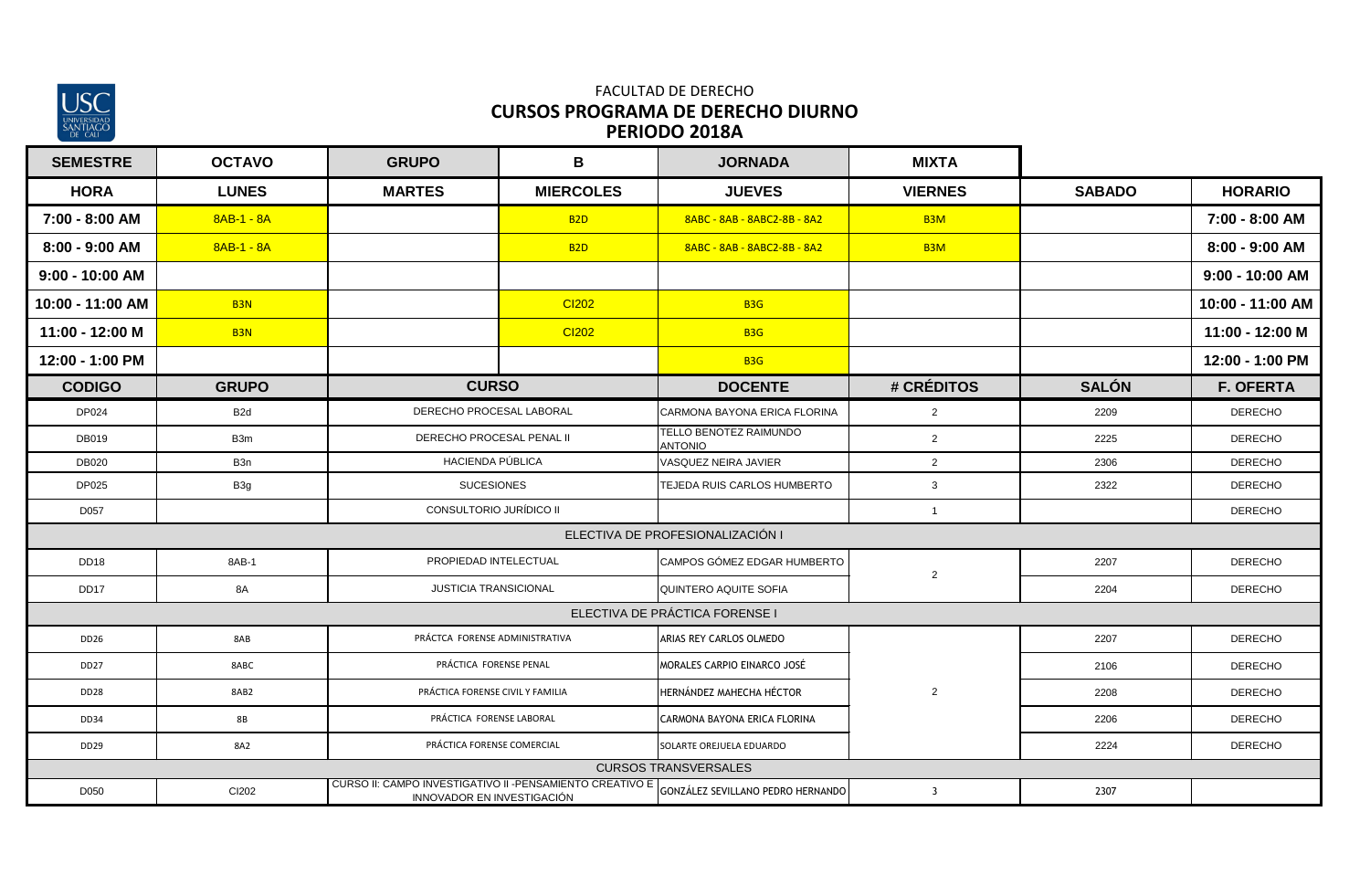

#### **PERÍODO 2018A** FACULTAD DE DERECHO **CURSOS PROGRAMA DE DERECHO DIURNO**

| <b>SEMESTRE</b>   | <b>OCTAVO</b>   | <b>GRUPO</b>                                                                            | B                      | <b>JORNADA</b>                           | <b>MIXTA</b>     |               |                  |
|-------------------|-----------------|-----------------------------------------------------------------------------------------|------------------------|------------------------------------------|------------------|---------------|------------------|
| <b>HORA</b>       | <b>LUNES</b>    | <b>MARTES</b>                                                                           | <b>MIERCOLES</b>       | <b>JUEVES</b>                            | <b>VIERNES</b>   | <b>SABADO</b> | <b>HORARIO</b>   |
| 7:00 - 8:00 AM    | 8AB-1 - 8A      |                                                                                         | <b>B2D</b>             | 8ABC - 8AB - 8ABC2-8B - 8A2              | B <sub>3</sub> M |               | 7:00 - 8:00 AM   |
| 8:00 - 9:00 AM    | $8AB-1 - 8A$    |                                                                                         | B <sub>2D</sub>        | 8ABC - 8AB - 8ABC2-8B - 8A2              | B <sub>3</sub> M |               | 8:00 - 9:00 AM   |
| $9:00 - 10:00$ AM |                 |                                                                                         |                        |                                          |                  |               | 9:00 - 10:00 AM  |
| 10:00 - 11:00 AM  | B <sub>3N</sub> |                                                                                         | <b>CI202</b>           | <b>B3G</b>                               |                  |               | 10:00 - 11:00 AM |
| 11:00 - 12:00 M   | B <sub>3N</sub> |                                                                                         | CI202                  | <b>B3G</b>                               |                  |               | 11:00 - 12:00 M  |
| 12:00 - 1:00 PM   |                 |                                                                                         |                        | <b>B3G</b>                               |                  |               | 12:00 - 1:00 PM  |
| <b>CODIGO</b>     | <b>GRUPO</b>    | <b>CURSO</b>                                                                            |                        | <b>DOCENTE</b>                           | # CRÉDITOS       | <b>SALÓN</b>  | <b>F. OFERTA</b> |
| DP024             | B <sub>2d</sub> | DERECHO PROCESAL LABORAL                                                                |                        | CARMONA BAYONA ERICA FLORINA             | $\overline{2}$   | 2209          | <b>DERECHO</b>   |
| <b>DB019</b>      | B3m             | DERECHO PROCESAL PENAL II                                                               |                        | TELLO BENOTEZ RAIMUNDO<br><b>OINOTAA</b> | $\overline{2}$   | 2225          | <b>DERECHO</b>   |
| <b>DB020</b>      | B <sub>3n</sub> | HACIENDA PÚBLICA                                                                        |                        | VASQUEZ NEIRA JAVIER                     | $\overline{2}$   | 2306          | <b>DERECHO</b>   |
| <b>DP025</b>      | B3g             | <b>SUCESIONES</b>                                                                       |                        | TEJEDA RUIS CARLOS HUMBERTO              | $\mathbf{3}$     | 2322          | <b>DERECHO</b>   |
| D057              |                 | CONSULTORIO JURÍDICO II                                                                 |                        |                                          | $\mathbf{1}$     |               | <b>DERECHO</b>   |
|                   |                 |                                                                                         |                        | ELECTIVA DE PROFESIONALIZACIÓN I         |                  |               |                  |
| <b>DD18</b>       | 8AB-1           | PROPIEDAD INTELECTUAL                                                                   |                        | CAMPOS GÓMEZ EDGAR HUMBERTO              | $\overline{2}$   | 2207          | <b>DERECHO</b>   |
| DD17              | 8A              | <b>JUSTICIA TRANSICIONAL</b>                                                            |                        | QUINTERO AQUITE SOFIA                    |                  | 2204          | <b>DERECHO</b>   |
|                   |                 |                                                                                         |                        | ELECTIVA DE PRÁCTICA FORENSE I           |                  |               |                  |
| DD26              | 8AB             | PRÁCTCA FORENSE ADMINISTRATIVA                                                          |                        | ARIAS REY CARLOS OLMEDO                  |                  | 2207          | <b>DERECHO</b>   |
| <b>DD27</b>       | 8ABC            |                                                                                         | PRÁCTICA FORENSE PENAL |                                          |                  | 2106          | <b>DERECHO</b>   |
| <b>DD28</b>       | 8AB2            | PRÁCTICA FORENSE CIVIL Y FAMILIA                                                        |                        | HERNÁNDEZ MAHECHA HÉCTOR                 | $\overline{2}$   | 2208          | <b>DERECHO</b>   |
| <b>DD34</b>       | <b>8B</b>       | PRÁCTICA FORENSE LABORAL                                                                |                        | CARMONA BAYONA ERICA FLORINA             |                  | 2206          | <b>DERECHO</b>   |
| DD <sub>29</sub>  | 8A2             | PRÁCTICA FORENSE COMERCIAL                                                              |                        | SOLARTE OREJUELA EDUARDO                 |                  | 2224          | <b>DERECHO</b>   |
|                   |                 |                                                                                         |                        | <b>CURSOS TRANSVERSALES</b>              |                  |               |                  |
| D050              | CI202           | CURSO II: CAMPO INVESTIGATIVO II - PENSAMIENTO CREATIVO E<br>INNOVADOR EN INVESTIGACIÓN |                        | GONZÁLEZ SEVILLANO PEDRO HERNANDO        | $\overline{3}$   | 2307          |                  |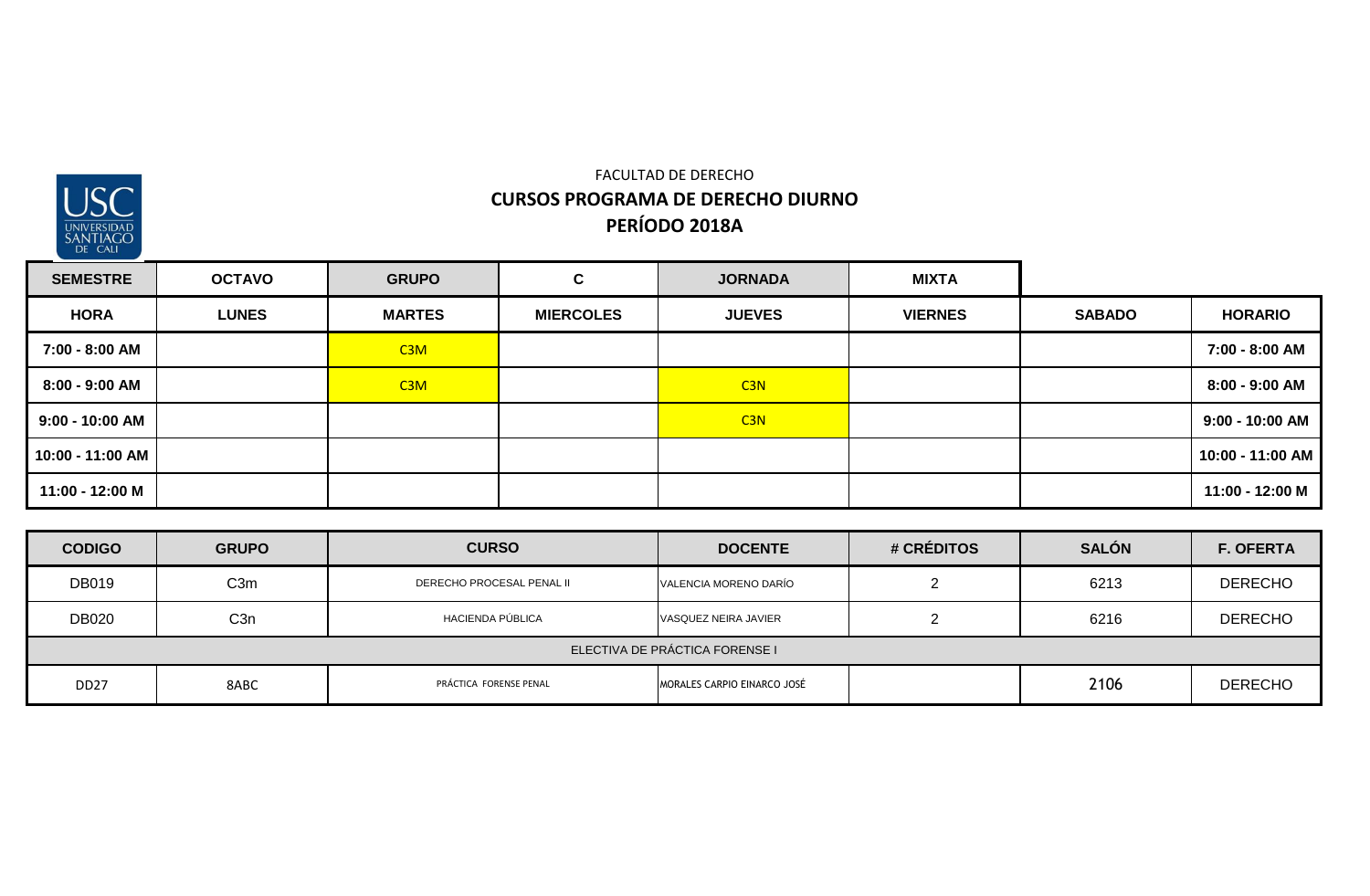

## FACULTAD DE DERECHO **CURSOS PROGRAMA DE DERECHO DIURNO PERÍODO 2018A**

| <b>SEMESTRE</b>  | <b>OCTAVO</b> | <b>GRUPO</b>  | C.               | <b>JORNADA</b> | <b>MIXTA</b>   |               |                   |
|------------------|---------------|---------------|------------------|----------------|----------------|---------------|-------------------|
| <b>HORA</b>      | <b>LUNES</b>  | <b>MARTES</b> | <b>MIERCOLES</b> | <b>JUEVES</b>  | <b>VIERNES</b> | <b>SABADO</b> | <b>HORARIO</b>    |
| 7:00 - 8:00 AM   |               | C3M           |                  |                |                |               | 7:00 - 8:00 AM    |
| 8:00 - 9:00 AM   |               | C3M           |                  | C3N            |                |               | 8:00 - 9:00 AM    |
| 9:00 - 10:00 AM  |               |               |                  | C3N            |                |               | $9:00 - 10:00$ AM |
| 10:00 - 11:00 AM |               |               |                  |                |                |               | 10:00 - 11:00 AM  |
| 11:00 - 12:00 M  |               |               |                  |                |                |               | 11:00 - 12:00 M   |

| <b>CODIGO</b>                  | <b>GRUPO</b>     | <b>CURSO</b>              | <b>DOCENTE</b>              | # CRÉDITOS | <b>SALÓN</b> | <b>F. OFERTA</b> |  |  |
|--------------------------------|------------------|---------------------------|-----------------------------|------------|--------------|------------------|--|--|
| <b>DB019</b>                   | C <sub>3</sub> m | DERECHO PROCESAL PENAL II | VALENCIA MORENO DARÍO       |            | 6213         | <b>DERECHO</b>   |  |  |
| <b>DB020</b>                   | C <sub>3</sub> n | HACIENDA PÚBLICA          | VASQUEZ NEIRA JAVIER        |            | 6216         | <b>DERECHO</b>   |  |  |
| ELECTIVA DE PRÁCTICA FORENSE I |                  |                           |                             |            |              |                  |  |  |
| DD <sub>27</sub>               | 8ABC             | PRÁCTICA FORENSE PENAL    | MORALES CARPIO EINARCO JOSÉ |            | 2106         | <b>DERECHO</b>   |  |  |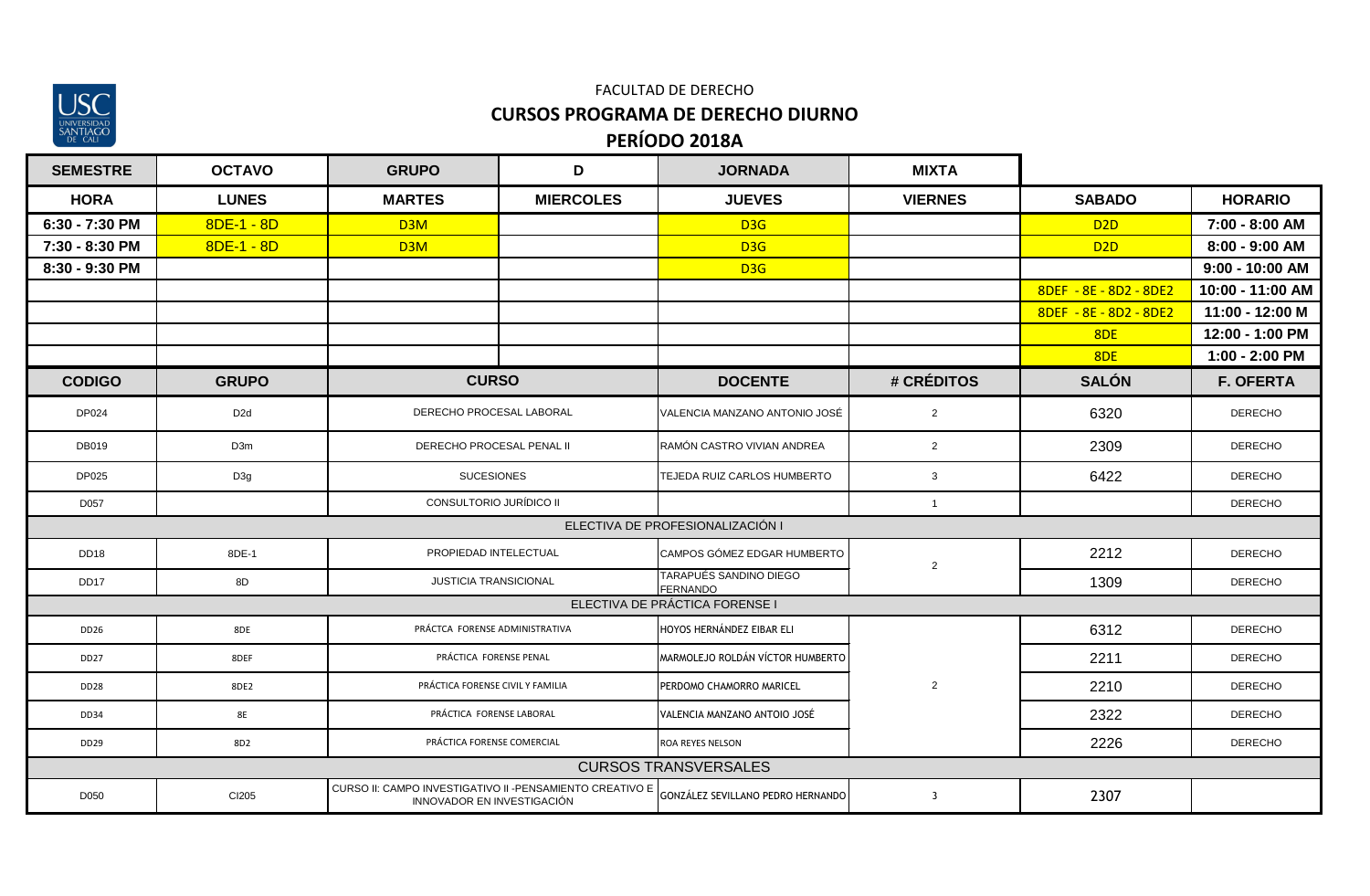

### **PERÍODO 2018A** FACULTAD DE DERECHO **CURSOS PROGRAMA DE DERECHO DIURNO**

| <b>SEMESTRE</b>  | <b>OCTAVO</b>   | <b>GRUPO</b>                                                                            | D                | <b>JORNADA</b>                                   | <b>MIXTA</b>            |                        |                   |
|------------------|-----------------|-----------------------------------------------------------------------------------------|------------------|--------------------------------------------------|-------------------------|------------------------|-------------------|
| <b>HORA</b>      | <b>LUNES</b>    | <b>MARTES</b>                                                                           | <b>MIERCOLES</b> | <b>JUEVES</b>                                    | <b>VIERNES</b>          | <b>SABADO</b>          | <b>HORARIO</b>    |
| 6:30 - 7:30 PM   | $8DE - 1 - 8D$  | D3M                                                                                     |                  | D3G                                              |                         | D <sub>2D</sub>        | 7:00 - 8:00 AM    |
| 7:30 - 8:30 PM   | $8DE - 1 - 8D$  | D3M                                                                                     |                  | D <sub>3G</sub>                                  |                         | D <sub>2D</sub>        | 8:00 - 9:00 AM    |
| 8:30 - 9:30 PM   |                 |                                                                                         |                  | D <sub>3G</sub>                                  |                         |                        | $9:00 - 10:00$ AM |
|                  |                 |                                                                                         |                  |                                                  |                         | 8DEF - 8E - 8D2 - 8DE2 | 10:00 - 11:00 AM  |
|                  |                 |                                                                                         |                  |                                                  |                         | 8DEF - 8E - 8D2 - 8DE2 | 11:00 - 12:00 M   |
|                  |                 |                                                                                         |                  |                                                  |                         | 8DE                    | 12:00 - 1:00 PM   |
|                  |                 |                                                                                         |                  |                                                  |                         | 8DE                    | 1:00 - 2:00 PM    |
| <b>CODIGO</b>    | <b>GRUPO</b>    | <b>CURSO</b>                                                                            |                  | <b>DOCENTE</b>                                   | # CRÉDITOS              | <b>SALÓN</b>           | <b>F. OFERTA</b>  |
| DP024            | D <sub>2d</sub> | DERECHO PROCESAL LABORAL                                                                |                  | VALENCIA MANZANO ANTONIO JOSÉ                    | $\overline{2}$          | 6320                   | <b>DERECHO</b>    |
| DB019            | D3m             | DERECHO PROCESAL PENAL II                                                               |                  | RAMÓN CASTRO VIVIAN ANDREA                       | $\overline{2}$          | 2309                   | <b>DERECHO</b>    |
| DP025            | D3g             | <b>SUCESIONES</b>                                                                       |                  | TEJEDA RUIZ CARLOS HUMBERTO                      | $\mathbf{3}$            | 6422                   | <b>DERECHO</b>    |
| D057             |                 | CONSULTORIO JURÍDICO II                                                                 |                  |                                                  | $\overline{1}$          |                        | <b>DERECHO</b>    |
|                  |                 |                                                                                         |                  | ELECTIVA DE PROFESIONALIZACIÓN I                 |                         |                        |                   |
| <b>DD18</b>      | 8DE-1           | PROPIEDAD INTELECTUAL                                                                   |                  | CAMPOS GÓMEZ EDGAR HUMBERTO                      | $\overline{2}$          | 2212                   | <b>DERECHO</b>    |
| DD <sub>17</sub> | 8D              | <b>JUSTICIA TRANSICIONAL</b>                                                            |                  | <b>TARAPUÉS SANDINO DIEGO</b><br><b>FERNANDO</b> |                         | 1309                   | <b>DERECHO</b>    |
|                  |                 |                                                                                         |                  | ELECTIVA DE PRÁCTICA FORENSE I                   |                         |                        |                   |
| <b>DD26</b>      | 8DE             | PRÁCTCA FORENSE ADMINISTRATIVA                                                          |                  | HOYOS HERNÁNDEZ EIBAR ELI                        |                         | 6312                   | <b>DERECHO</b>    |
| DD <sub>27</sub> | 8DEF            | PRÁCTICA FORENSE PENAL                                                                  |                  | MARMOLEJO ROLDÁN VÍCTOR HUMBERTO                 |                         | 2211                   | <b>DERECHO</b>    |
| <b>DD28</b>      | 8DE2            | PRÁCTICA FORENSE CIVIL Y FAMILIA                                                        |                  | PERDOMO CHAMORRO MARICEL                         | $\overline{2}$          | 2210                   | <b>DERECHO</b>    |
| DD34             | <b>8E</b>       | PRÁCTICA FORENSE LABORAL                                                                |                  | VALENCIA MANZANO ANTOIO JOSÉ                     |                         | 2322                   | <b>DERECHO</b>    |
| DD29             | 8D <sub>2</sub> | PRÁCTICA FORENSE COMERCIAL                                                              |                  | ROA REYES NELSON                                 |                         | 2226                   | <b>DERECHO</b>    |
|                  |                 |                                                                                         |                  | <b>CURSOS TRANSVERSALES</b>                      |                         |                        |                   |
| D050             | CI205           | CURSO II: CAMPO INVESTIGATIVO II - PENSAMIENTO CREATIVO E<br>INNOVADOR EN INVESTIGACIÓN |                  | GONZÁLEZ SEVILLANO PEDRO HERNANDO                | $\overline{\mathbf{3}}$ | 2307                   |                   |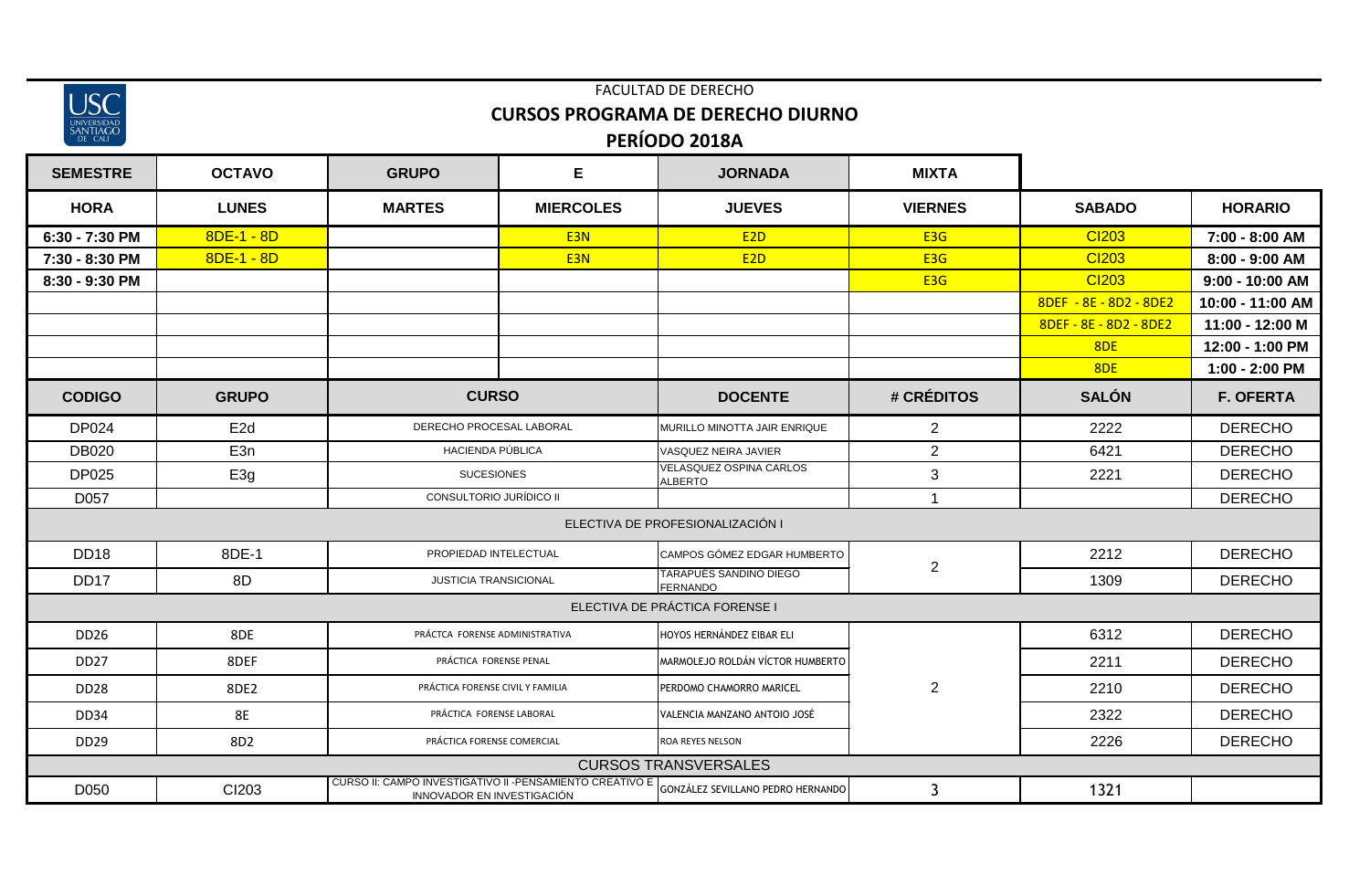| 'ersid/<br>e |  |
|--------------|--|

### FACULTAD DE DERECHO **CURSOS PROGRAMA DE DERECHO DIURNO PERÍODO 2018A**

| <b>SEMESTRE</b>  | <b>OCTAVO</b>   | <b>GRUPO</b>                                                                            | Е                                                        | <b>JORNADA</b>                                   | <b>MIXTA</b>     |                        |                  |
|------------------|-----------------|-----------------------------------------------------------------------------------------|----------------------------------------------------------|--------------------------------------------------|------------------|------------------------|------------------|
| <b>HORA</b>      | <b>LUNES</b>    | <b>MARTES</b>                                                                           | <b>MIERCOLES</b>                                         | <b>JUEVES</b>                                    | <b>VIERNES</b>   | <b>SABADO</b>          | <b>HORARIO</b>   |
| 6:30 - 7:30 PM   | $8DE-1 - 8D$    |                                                                                         | E <sub>3N</sub>                                          | E <sub>2D</sub>                                  | E <sub>3</sub> G | <b>CI203</b>           | 7:00 - 8:00 AM   |
| 7:30 - 8:30 PM   | $8DE-1 - 8D$    |                                                                                         | E <sub>3N</sub>                                          | E2D                                              | E <sub>3</sub> G | <b>CI203</b>           | 8:00 - 9:00 AM   |
| 8:30 - 9:30 PM   |                 |                                                                                         |                                                          |                                                  | E <sub>3</sub> G | <b>CI203</b>           | 9:00 - 10:00 AM  |
|                  |                 |                                                                                         |                                                          |                                                  |                  | 8DEF - 8E - 8D2 - 8DE2 | 10:00 - 11:00 AM |
|                  |                 |                                                                                         |                                                          |                                                  |                  | 8DEF - 8E - 8D2 - 8DE2 | 11:00 - 12:00 M  |
|                  |                 |                                                                                         |                                                          |                                                  |                  | 8DE                    | 12:00 - 1:00 PM  |
|                  |                 |                                                                                         |                                                          |                                                  |                  | 8 <sub>DE</sub>        | 1:00 - 2:00 PM   |
| <b>CODIGO</b>    | <b>GRUPO</b>    | <b>CURSO</b>                                                                            |                                                          | <b>DOCENTE</b>                                   | # CRÉDITOS       | <b>SALÓN</b>           | <b>F. OFERTA</b> |
| DP024            | E <sub>2d</sub> |                                                                                         | DERECHO PROCESAL LABORAL<br>MURILLO MINOTTA JAIR ENRIQUE |                                                  | $\overline{2}$   | 2222                   | <b>DERECHO</b>   |
| <b>DB020</b>     | E <sub>3n</sub> | HACIENDA PÚBLICA                                                                        |                                                          | VASQUEZ NEIRA JAVIER                             | $\mathbf{2}$     | 6421                   | <b>DERECHO</b>   |
| <b>DP025</b>     | E3g             | <b>SUCESIONES</b>                                                                       |                                                          | <b>VELASQUEZ OSPINA CARLOS</b><br><b>ALBERTO</b> | $\sqrt{3}$       | 2221                   | <b>DERECHO</b>   |
| D057             |                 | CONSULTORIO JURÍDICO II                                                                 |                                                          |                                                  | 1                |                        | <b>DERECHO</b>   |
|                  |                 |                                                                                         |                                                          | ELECTIVA DE PROFESIONALIZACIÓN I                 |                  |                        |                  |
| <b>DD18</b>      | 8DE-1           |                                                                                         | PROPIEDAD INTELECTUAL                                    |                                                  | $\overline{2}$   | 2212                   | <b>DERECHO</b>   |
| DD17             | 8D              | <b>JUSTICIA TRANSICIONAL</b>                                                            |                                                          | TARAPUÉS SANDINO DIEGO<br><b>FERNANDO</b>        |                  | 1309                   | <b>DERECHO</b>   |
|                  |                 |                                                                                         |                                                          | ELECTIVA DE PRÁCTICA FORENSE I                   |                  |                        |                  |
| DD26             | 8DE             | PRÁCTCA FORENSE ADMINISTRATIVA                                                          |                                                          | HOYOS HERNÁNDEZ EIBAR ELI                        |                  | 6312                   | <b>DERECHO</b>   |
| <b>DD27</b>      | 8DEF            | PRÁCTICA FORENSE PENAL                                                                  |                                                          | MARMOLEJO ROLDÁN VÍCTOR HUMBERTO                 |                  | 2211                   | <b>DERECHO</b>   |
| DD <sub>28</sub> | 8DE2            | PRÁCTICA FORENSE CIVIL Y FAMILIA                                                        |                                                          | PERDOMO CHAMORRO MARICEL                         | $\overline{2}$   | 2210                   | <b>DERECHO</b>   |
| <b>DD34</b>      | <b>8E</b>       | PRÁCTICA FORENSE LABORAL                                                                |                                                          | VALENCIA MANZANO ANTOIO JOSÉ                     |                  | 2322                   | <b>DERECHO</b>   |
| DD29             | 8D <sub>2</sub> | PRÁCTICA FORENSE COMERCIAL                                                              |                                                          | ROA REYES NELSON                                 |                  | 2226                   | <b>DERECHO</b>   |
|                  |                 |                                                                                         |                                                          | <b>CURSOS TRANSVERSALES</b>                      |                  |                        |                  |
| D050             | CI203           | CURSO II: CAMPO INVESTIGATIVO II - PENSAMIENTO CREATIVO E<br>INNOVADOR EN INVESTIGACIÓN |                                                          | GONZÁLEZ SEVILLANO PEDRO HERNANDO                | 3                | 1321                   |                  |